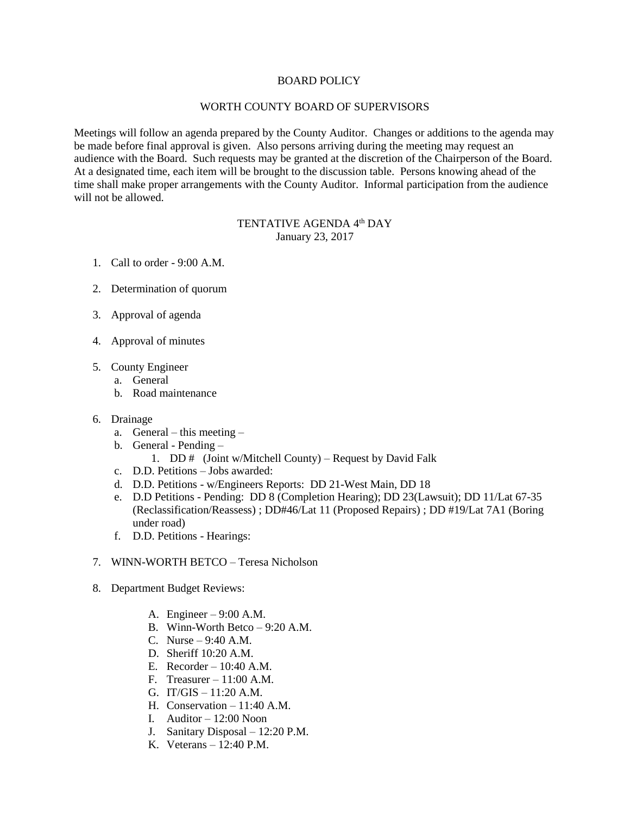## BOARD POLICY

## WORTH COUNTY BOARD OF SUPERVISORS

Meetings will follow an agenda prepared by the County Auditor. Changes or additions to the agenda may be made before final approval is given. Also persons arriving during the meeting may request an audience with the Board. Such requests may be granted at the discretion of the Chairperson of the Board. At a designated time, each item will be brought to the discussion table. Persons knowing ahead of the time shall make proper arrangements with the County Auditor. Informal participation from the audience will not be allowed.

## TENTATIVE AGENDA 4<sup>th</sup> DAY January 23, 2017

- 1. Call to order 9:00 A.M.
- 2. Determination of quorum
- 3. Approval of agenda
- 4. Approval of minutes
- 5. County Engineer
	- a. General
	- b. Road maintenance
- 6. Drainage
	- a. General this meeting –
	- b. General Pending
		- 1. DD  $#$  (Joint w/Mitchell County) Request by David Falk
	- c. D.D. Petitions Jobs awarded:
	- d. D.D. Petitions w/Engineers Reports: DD 21-West Main, DD 18
	- e. D.D Petitions Pending: DD 8 (Completion Hearing); DD 23(Lawsuit); DD 11/Lat 67-35 (Reclassification/Reassess) ; DD#46/Lat 11 (Proposed Repairs) ; DD #19/Lat 7A1 (Boring under road)
	- f. D.D. Petitions Hearings:
- 7. WINN-WORTH BETCO Teresa Nicholson
- 8. Department Budget Reviews:
	- A. Engineer 9:00 A.M.
	- B. Winn-Worth Betco 9:20 A.M.
	- C. Nurse 9:40 A.M.
	- D. Sheriff 10:20 A.M.
	- E. Recorder 10:40 A.M.
	- F. Treasurer  $-11:00$  A.M.
	- G. IT/GIS 11:20 A.M.
	- H. Conservation 11:40 A.M.
	- I. Auditor 12:00 Noon
	- J. Sanitary Disposal 12:20 P.M.
	- K. Veterans 12:40 P.M.